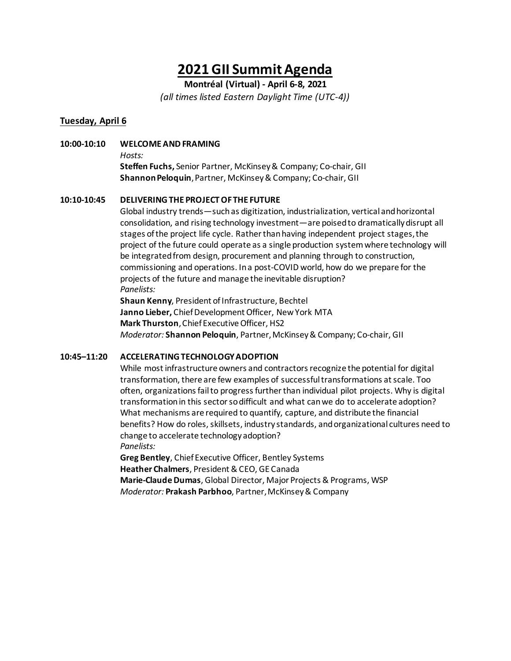# **2021GII Summit Agenda**

**Montréal (Virtual) - April 6-8, 2021**

*(all times listed Eastern Daylight Time (UTC-4))*

# **Tuesday, April 6**

#### **10:00-10:10 WELCOME AND FRAMING**

*Hosts:*

**Steffen Fuchs,** Senior Partner, McKinsey & Company; Co-chair, GII **Shannon Peloquin**, Partner, McKinsey & Company; Co-chair, GII

## **10:10-10:45 DELIVERING THE PROJECT OF THE FUTURE**

Global industry trends—such as digitization, industrialization, vertical and horizontal consolidation, and rising technology investment—are poised to dramatically disrupt all stages of the project life cycle. Rather than having independent project stages, the project of the future could operate as a single production system where technology will be integrated from design, procurement and planning through to construction, commissioning and operations. In a post-COVID world, how do we prepare for the projects of the future and manage the inevitable disruption? *Panelists:*

**Shaun Kenny**, President of Infrastructure, Bechtel **Janno Lieber,** Chief Development Officer, New York MTA **Mark Thurston**, Chief Executive Officer, HS2 *Moderator:* **Shannon Peloquin**, Partner, McKinsey & Company; Co-chair, GII

#### **10:45–11:20 ACCELERATING TECHNOLOGY ADOPTION**

While most infrastructure owners and contractors recognize the potential for digital transformation, there are few examples of successful transformations at scale. Too often, organizations fail to progress further than individual pilot projects. Why is digital transformation in this sector so difficult and what can we do to accelerate adoption? What mechanisms are required to quantify, capture, and distribute the financial benefits? How do roles, skillsets, industry standards, and organizational cultures need to change to accelerate technology adoption? *Panelists:*

**Greg Bentley**, Chief Executive Officer, Bentley Systems **Heather Chalmers**, President & CEO, GE Canada **Marie-Claude Dumas**, Global Director, Major Projects & Programs, WSP *Moderator:* **Prakash Parbhoo**, Partner, McKinsey & Company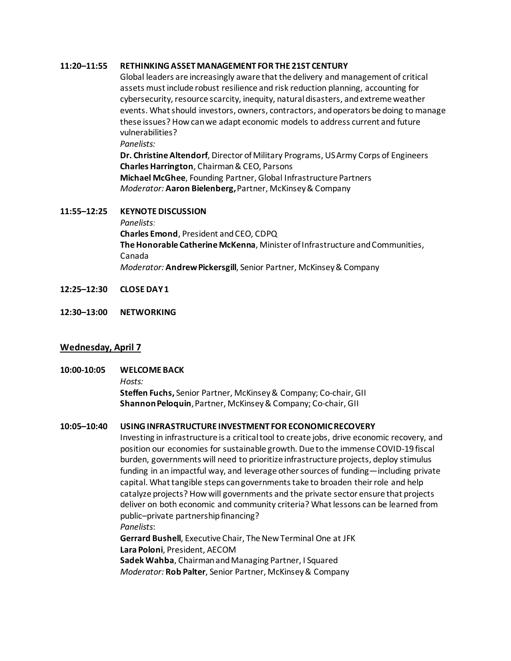#### **11:20–11:55 RETHINKING ASSET MANAGEMENT FOR THE 21ST CENTURY**

Global leaders are increasingly aware that the delivery and management of critical assets must include robust resilience and risk reduction planning, accounting for cybersecurity, resource scarcity, inequity, natural disasters, and extreme weather events. What should investors, owners, contractors, and operators be doing to manage these issues? How can we adapt economic models to address current and future vulnerabilities?

*Panelists:*

**Dr. Christine Altendorf**, Director of Military Programs, US Army Corps of Engineers **Charles Harrington**, Chairman & CEO, Parsons

**Michael McGhee**, Founding Partner, Global Infrastructure Partners *Moderator:* **Aaron Bielenberg,**Partner, McKinsey & Company

#### **11:55–12:25 KEYNOTE DISCUSSION**

*Panelists:* 

**Charles Emond**, President and CEO, CDPQ **The Honorable Catherine McKenna**, Minister of Infrastructure and Communities, Canada *Moderator:* **Andrew Pickersgill**, Senior Partner, McKinsey & Company

- **12:25–12:30 CLOSE DAY 1**
- **12:30–13:00 NETWORKING**

#### **Wednesday, April 7**

**10:00-10:05 WELCOME BACK** *Hosts:* **Steffen Fuchs,** Senior Partner, McKinsey & Company; Co-chair, GII **Shannon Peloquin**, Partner, McKinsey & Company; Co-chair, GII

## **10:05–10:40 USINGINFRASTRUCTURE INVESTMENT FOR ECONOMIC RECOVERY**

Investing in infrastructure is a critical tool to create jobs, drive economic recovery, and position our economies for sustainable growth. Due to the immense COVID-19 fiscal burden, governments will need to prioritize infrastructure projects, deploy stimulus funding in an impactful way, and leverage other sources of funding—including private capital. What tangible steps can governments take to broaden their role and help catalyze projects? How will governments and the private sector ensure that projects deliver on both economic and community criteria? What lessons can be learned from public–private partnership financing? *Panelists*: **Gerrard Bushell**, Executive Chair, The New Terminal One at JFK

**Lara Poloni**, President, AECOM

**Sadek Wahba**, Chairman and Managing Partner, I Squared *Moderator:* **Rob Palter**, Senior Partner, McKinsey & Company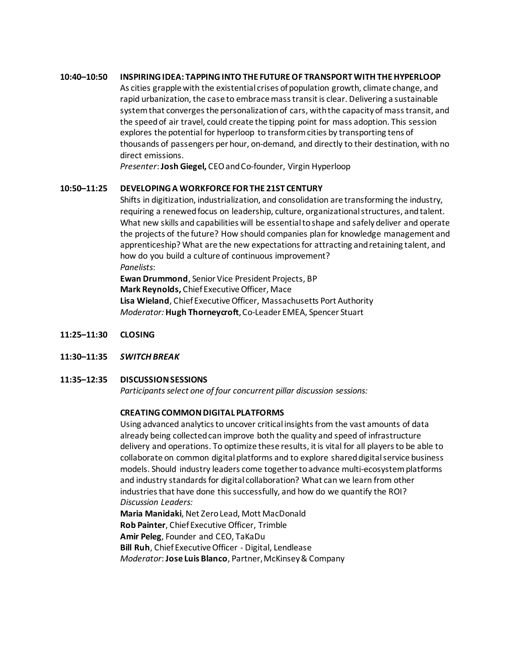## **10:40–10:50 INSPIRING IDEA: TAPPING INTO THE FUTURE OF TRANSPORT WITH THE HYPERLOOP**

As cities grapple with the existential crises of population growth, climate change, and rapid urbanization, the case to embrace mass transit is clear. Delivering a sustainable system that converges the personalization of cars, with the capacity of mass transit, and the speed of air travel, could create the tipping point for mass adoption. This session explores the potential for hyperloop to transform cities by transporting tens of thousands of passengers per hour, on-demand, and directly to their destination, with no direct emissions.

*Presenter*:**Josh Giegel,** CEO and Co-founder, Virgin Hyperloop

## **10:50–11:25 DEVELOPING A WORKFORCE FOR THE 21ST CENTURY**

Shifts in digitization, industrialization, and consolidation are transforming the industry, requiring a renewed focus on leadership, culture, organizational structures, and talent. What new skills and capabilities will be essential to shape and safely deliver and operate the projects of the future? How should companies plan for knowledge management and apprenticeship? What are the new expectations for attracting and retaining talent, and how do you build a culture of continuous improvement? *Panelists*:

**Ewan Drummond**, Senior Vice President Projects, BP **Mark Reynolds,** Chief Executive Officer, Mace **Lisa Wieland**, Chief Executive Officer, Massachusetts Port Authority *Moderator:* **Hugh Thorneycroft**,Co-Leader EMEA, Spencer Stuart

- **11:25–11:30 CLOSING**
- **11:30–11:35** *SWITCH BREAK*

#### **11:35–12:35 DISCUSSION SESSIONS**

*Participants select one of four concurrent pillar discussion sessions:*

#### **CREATING COMMON DIGITAL PLATFORMS**

Using advanced analytics to uncover critical insights from the vast amounts of data already being collected can improve both the quality and speed of infrastructure delivery and operations. To optimize these results, it is vital for all players to be able to collaborate on common digital platforms and to explore shared digital service business models. Should industry leaders come together to advance multi-ecosystem platforms and industry standards for digital collaboration? What can we learn from other industries that have done this successfully, and how do we quantify the ROI? *Discussion Leaders:* 

**Maria Manidaki**, Net Zero Lead, Mott MacDonald **Rob Painter**, Chief Executive Officer, Trimble **Amir Peleg**, Founder and CEO, TaKaDu **Bill Ruh**, Chief Executive Officer - Digital, Lendlease *Moderator*: **Jose Luis Blanco**, Partner, McKinsey & Company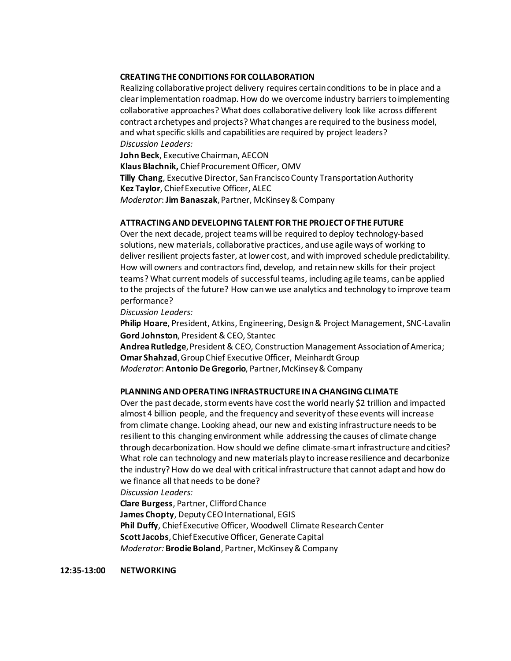#### **CREATING THE CONDITIONS FOR COLLABORATION**

Realizing collaborative project delivery requires certain conditions to be in place and a clear implementation roadmap. How do we overcome industry barriers to implementing collaborative approaches? What does collaborative delivery look like across different contract archetypes and projects? What changes are required to the business model, and what specific skills and capabilities are required by project leaders? *Discussion Leaders:*

**John Beck**, Executive Chairman, AECON **Klaus Blachnik,** Chief Procurement Officer, OMV **Tilly Chang**, Executive Director, San Francisco County Transportation Authority **Kez Taylor**, Chief Executive Officer, ALEC *Moderator*: **Jim Banaszak**, Partner, McKinsey & Company

## **ATTRACTING AND DEVELOPING TALENT FOR THE PROJECT OF THE FUTURE**

Over the next decade, project teams will be required to deploy technology-based solutions, new materials, collaborative practices, and use agile ways of working to deliver resilient projects faster, at lower cost, and with improved schedule predictability. How will owners and contractors find, develop, and retain new skills for their project teams? What current models of successful teams, including agile teams, can be applied to the projects of the future? How can we use analytics and technology to improve team performance?

*Discussion Leaders:*

**Philip Hoare**, President, Atkins, Engineering, Design & Project Management, SNC-Lavalin **Gord Johnston**, President & CEO, Stantec

**Andrea Rutledge**, President & CEO, Construction Management Association of America; **Omar Shahzad**, Group Chief Executive Officer, Meinhardt Group

*Moderator*: **Antonio De Gregorio**, Partner, McKinsey & Company

#### **PLANNING AND OPERATING INFRASTRUCTURE IN A CHANGING CLIMATE**

Over the past decade, storm events have cost the world nearly \$2 trillion and impacted almost 4 billion people, and the frequency and severity of these events will increase from climate change. Looking ahead, our new and existing infrastructure needs to be resilient to this changing environment while addressing the causes of climate change through decarbonization. How should we define climate-smart infrastructure and cities? What role can technology and new materials play to increase resilience and decarbonize the industry? How do we deal with critical infrastructure that cannot adapt and how do we finance all that needs to be done?

*Discussion Leaders:*

**Clare Burgess**, Partner, Clifford Chance **James Chopty**, Deputy CEO International, EGIS **Phil Duffy**, Chief Executive Officer, Woodwell Climate Research Center **Scott Jacobs**, Chief Executive Officer, Generate Capital *Moderator:* **Brodie Boland**, Partner, McKinsey & Company

**12:35-13:00 NETWORKING**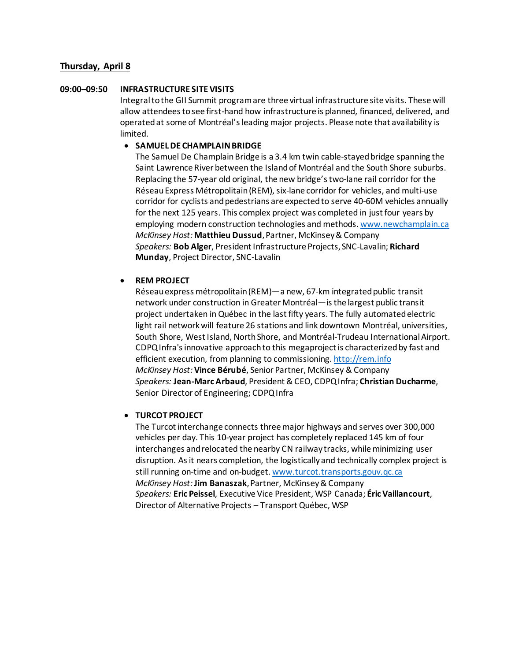# **Thursday, April 8**

#### **09:00–09:50 INFRASTRUCTURE SITE VISITS**

Integral to the GII Summit program are three virtual infrastructure site visits. These will allow attendees to see first-hand how infrastructure is planned, financed, delivered, and operated at some of Montréal's leading major projects. Please note that availability is limited.

## • **SAMUEL DE CHAMPLAIN BRIDGE**

The Samuel De Champlain Bridge is a 3.4 km twin cable-stayed bridge spanning the Saint Lawrence River between the Island of Montréal and the South Shore suburbs. Replacing the 57-year old original, the new bridge's two-lane rail corridor for the Réseau Express Métropolitain (REM), six-lane corridor for vehicles, and multi-use corridor for cyclists and pedestrians are expected to serve 40-60M vehicles annually for the next 125 years. This complex project was completed in just four years by employing modern construction technologies and methods[. www.newchamplain.ca](http://www.newchamplain.ca/) *McKinsey Host:* **Matthieu Dussud**, Partner, McKinsey & Company *Speakers:* **Bob Alger**, President Infrastructure Projects, SNC-Lavalin; **Richard Munday**, Project Director, SNC-Lavalin

## • **REM PROJECT**

Réseau express métropolitain (REM)—a new, 67-km integrated public transit network under construction in Greater Montréal—is the largest public transit project undertaken in Québec in the last fifty years. The fully automated electric light rail network will feature 26 stations and link downtown Montréal, universities, South Shore, West Island, North Shore, and Montréal-Trudeau International Airport. CDPQ Infra's innovative approach to this megaproject is characterized by fast and efficient execution, from planning to commissioning. [http://rem.info](http://rem.info/) *McKinsey Host:* **Vince Bérubé**, Senior Partner, McKinsey & Company *Speakers:* **Jean-Marc Arbaud**, President & CEO, CDPQ Infra; **Christian Ducharme**, Senior Director of Engineering; CDPQ Infra

## • **TURCOT PROJECT**

The Turcot interchange connects three major highways and serves over 300,000 vehicles per day. This 10-year project has completely replaced 145 km of four interchanges and relocated the nearby CN railway tracks, while minimizing user disruption. As it nears completion, the logistically and technically complex project is still running on-time and on-budget. [www.turcot.transports.gouv.qc.ca](http://www.turcot.transports.gouv.qc.ca/) *McKinsey Host:***Jim Banaszak**, Partner, McKinsey & Company *Speakers:* **Eric Peissel**, Executive Vice President, WSP Canada; **Éric Vaillancourt**, Director of Alternative Projects – Transport Québec, WSP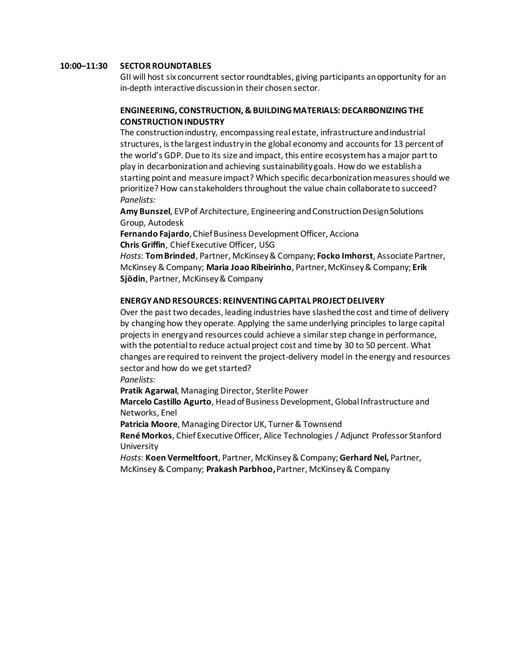#### **10:00–11:30 SECTOR ROUNDTABLES**

GII will host six concurrent sector roundtables, giving participants an opportunity for an in-depth interactive discussion in their chosen sector.

## **ENGINEERING, CONSTRUCTION, & BUILDING MATERIALS: DECARBONIZING THE CONSTRUCTION INDUSTRY**

The construction industry, encompassing real estate, infrastructure and industrial structures, is the largest industry in the global economy and accounts for 13 percent of the world's GDP. Due to its size and impact, this entire ecosystem has a major part to play in decarbonization and achieving sustainability goals. How do we establish a starting point and measure impact? Which specific decarbonization measures should we prioritize? How can stakeholders throughout the value chain collaborate to succeed? *Panelists:*

**Amy Bunszel**, EVP of Architecture, Engineering and Construction Design Solutions Group, Autodesk

**Fernando Fajardo**, Chief Business Development Officer, Acciona **Chris Griffin**, Chief Executive Officer, USG

*Hosts*: **Tom Brinded**, Partner, McKinsey & Company; **Focko Imhorst**, Associate Partner, McKinsey & Company; **Maria Joao Ribeirinho**, Partner, McKinsey & Company; **Erik Sjödin**, Partner, McKinsey & Company

#### **ENERGY AND RESOURCES: REINVENTING CAPITAL PROJECT DELIVERY**

Over the past two decades, leading industries have slashed the cost and time of delivery by changing how they operate. Applying the same underlying principles to large capital projects in energy and resources could achieve a similar step change in performance, with the potential to reduce actual project cost and time by 30 to 50 percent. What changes are required to reinvent the project-delivery model in the energy and resources sector and how do we get started?

*Panelists:*

**Pratik Agarwal**, Managing Director, Sterlite Power

**Marcelo Castillo Agurto**, Head of Business Development, Global Infrastructure and Networks, Enel

**Patricia Moore**, Managing Director UK, Turner & Townsend

**René Morkos**, Chief Executive Officer, Alice Technologies / Adjunct Professor Stanford University

*Hosts*: **Koen Vermeltfoort**, Partner, McKinsey & Company; **Gerhard Nel,** Partner, McKinsey & Company; **Prakash Parbhoo,** Partner, McKinsey & Company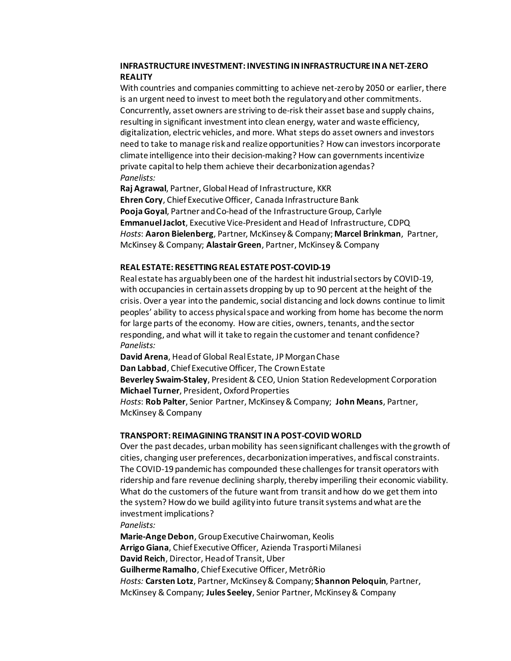# **INFRASTRUCTURE INVESTMENT: INVESTING IN INFRASTRUCTURE IN A NET-ZERO REALITY**

With countries and companies committing to achieve net-zero by 2050 or earlier, there is an urgent need to invest to meet both the regulatory and other commitments. Concurrently, asset owners are striving to de-risk their asset base and supply chains, resulting in significant investment into clean energy, water and waste efficiency, digitalization, electric vehicles, and more. What steps do asset owners and investors need to take to manage risk and realize opportunities? How can investors incorporate climate intelligence into their decision-making? How can governments incentivize private capital to help them achieve their decarbonization agendas? *Panelists:*

**Raj Agrawal**, Partner, Global Head of Infrastructure, KKR **Ehren Cory**, Chief Executive Officer, Canada Infrastructure Bank **Pooja Goyal**, Partner and Co-head of the Infrastructure Group, Carlyle **Emmanuel Jaclot**, Executive Vice-President and Head of Infrastructure, CDPQ *Hosts*: **Aaron Bielenberg**, Partner, McKinsey & Company; **Marcel Brinkman**, Partner, McKinsey & Company; **Alastair Green**, Partner, McKinsey & Company

#### **REAL ESTATE: RESETTING REAL ESTATE POST-COVID-19**

Real estate has arguably been one of the hardest hit industrial sectors by COVID-19, with occupancies in certain assets dropping by up to 90 percent at the height of the crisis. Over a year into the pandemic, social distancing and lock downs continue to limit peoples' ability to access physical space and working from home has become the norm for large parts of the economy. How are cities, owners, tenants, and the sector responding, and what will it take to regain the customer and tenant confidence? *Panelists:*

**David Arena**, Head of Global Real Estate, JP Morgan Chase **Dan Labbad**, Chief Executive Officer, The Crown Estate **Beverley Swaim-Staley**, President & CEO, Union Station Redevelopment Corporation **Michael Turner**, President, Oxford Properties *Hosts*: **Rob Palter**, Senior Partner, McKinsey & Company; **John Means**, Partner, McKinsey & Company

#### **TRANSPORT: REIMAGINING TRANSIT IN A POST-COVID WORLD**

Over the past decades, urban mobility has seen significant challenges with the growth of cities, changing user preferences, decarbonization imperatives, and fiscal constraints. The COVID-19 pandemic has compounded these challenges for transit operators with ridership and fare revenue declining sharply, thereby imperiling their economic viability. What do the customers of the future want from transit and how do we get them into the system? How do we build agility into future transit systems and what are the investment implications?

#### *Panelists:*

**Marie-Ange Debon**, Group Executive Chairwoman, Keolis **Arrigo Giana**, Chief Executive Officer, Azienda Trasporti Milanesi **David Reich**, Director, Head of Transit, Uber **Guilherme Ramalho**, Chief Executive Officer, MetrôRio *Hosts:* **Carsten Lotz**, Partner, McKinsey & Company; **Shannon Peloquin**, Partner, McKinsey & Company; **Jules Seeley**, Senior Partner, McKinsey & Company